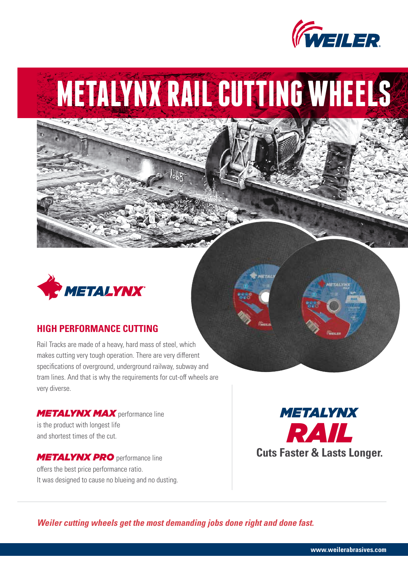

# **METALYNX RAIL CUTTING WHEELS**



### **HIGH PERFORMANCE CUTTING**

Rail Tracks are made of a heavy, hard mass of steel, which makes cutting very tough operation. There are very different specifications of overground, underground railway, subway and tram lines. And that is why the requirements for cut-off wheels are very diverse.

*METALYNX MAX* performance line is the product with longest life and shortest times of the cut.

*METALYNX PRO* performance line offers the best price performance ratio. It was designed to cause no blueing and no dusting.



*Weiler cutting wheels get the most demanding jobs done right and done fast.*